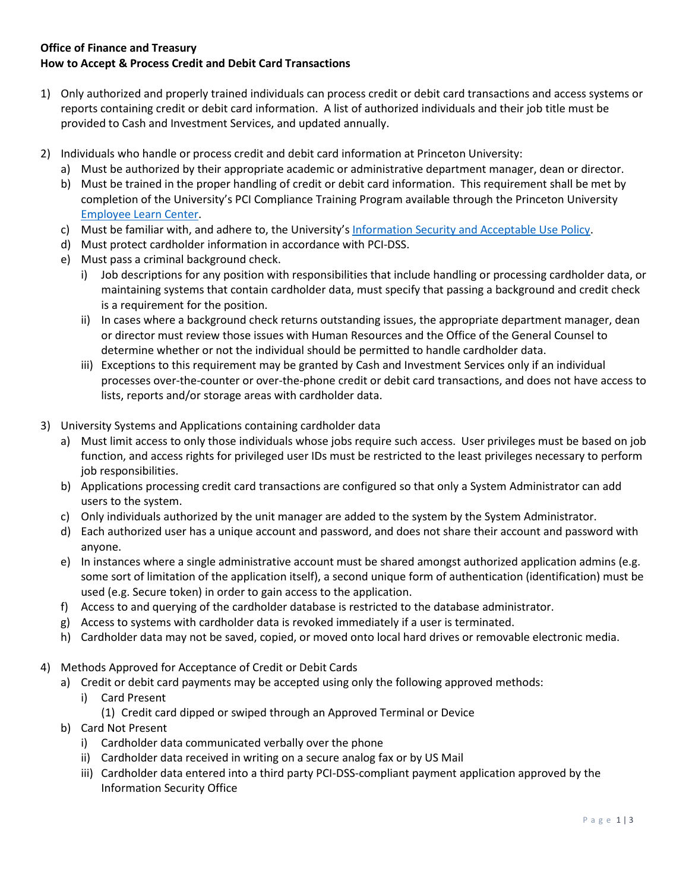## **Office of Finance and Treasury How to Accept & Process Credit and Debit Card Transactions**

- 1) Only authorized and properly trained individuals can process credit or debit card transactions and access systems or reports containing credit or debit card information. A list of authorized individuals and their job title must be provided to Cash and Investment Services, and updated annually.
- 2) Individuals who handle or process credit and debit card information at Princeton University:
	- a) Must be authorized by their appropriate academic or administrative department manager, dean or director.
	- b) Must be trained in the proper handling of credit or debit card information. This requirement shall be met by completion of the University's PCI Compliance Training Program available through the Princeton University [Employee Learn Center.](https://www.princeton.edu/training)
	- c) Must be familiar with, and adhere to, the University's [Information Security and Acceptable Use Policy.](https://itpolicy.princeton.edu/)
	- d) Must protect cardholder information in accordance with PCI-DSS.
	- e) Must pass a criminal background check.
		- i) Job descriptions for any position with responsibilities that include handling or processing cardholder data, or maintaining systems that contain cardholder data, must specify that passing a background and credit check is a requirement for the position.
		- ii) In cases where a background check returns outstanding issues, the appropriate department manager, dean or director must review those issues with Human Resources and the Office of the General Counsel to determine whether or not the individual should be permitted to handle cardholder data.
		- iii) Exceptions to this requirement may be granted by Cash and Investment Services only if an individual processes over-the-counter or over-the-phone credit or debit card transactions, and does not have access to lists, reports and/or storage areas with cardholder data.
- 3) University Systems and Applications containing cardholder data
	- a) Must limit access to only those individuals whose jobs require such access. User privileges must be based on job function, and access rights for privileged user IDs must be restricted to the least privileges necessary to perform job responsibilities.
	- b) Applications processing credit card transactions are configured so that only a System Administrator can add users to the system.
	- c) Only individuals authorized by the unit manager are added to the system by the System Administrator.
	- d) Each authorized user has a unique account and password, and does not share their account and password with anyone.
	- e) In instances where a single administrative account must be shared amongst authorized application admins (e.g. some sort of limitation of the application itself), a second unique form of authentication (identification) must be used (e.g. Secure token) in order to gain access to the application.
	- f) Access to and querying of the cardholder database is restricted to the database administrator.
	- g) Access to systems with cardholder data is revoked immediately if a user is terminated.
	- h) Cardholder data may not be saved, copied, or moved onto local hard drives or removable electronic media.
- 4) Methods Approved for Acceptance of Credit or Debit Cards
	- a) Credit or debit card payments may be accepted using only the following approved methods:
		- i) Card Present
			- (1) Credit card dipped or swiped through an Approved Terminal or Device
	- b) Card Not Present
		- i) Cardholder data communicated verbally over the phone
		- ii) Cardholder data received in writing on a secure analog fax or by US Mail
		- iii) Cardholder data entered into a third party PCI-DSS-compliant payment application approved by the Information Security Office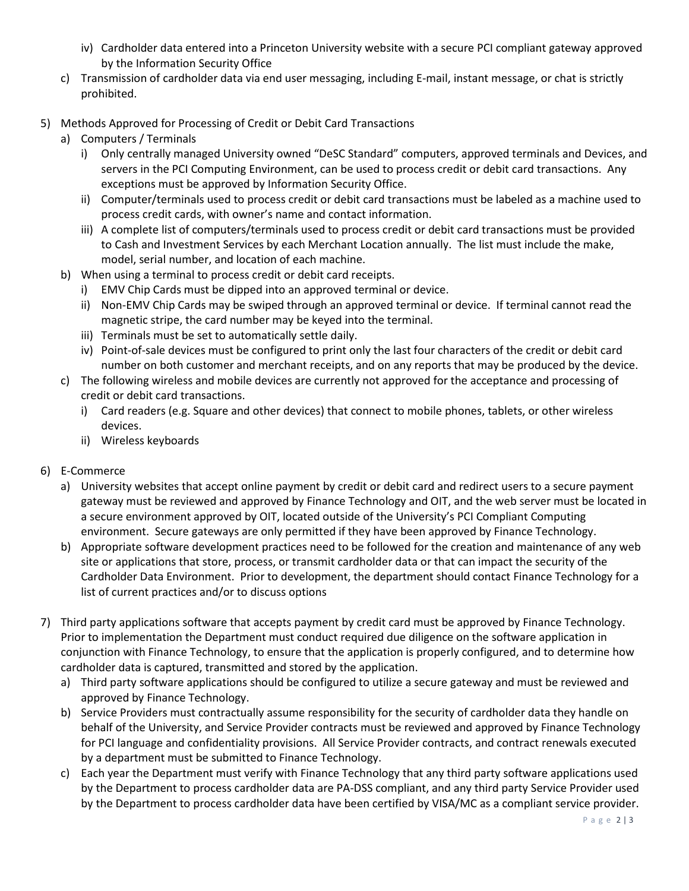- iv) Cardholder data entered into a Princeton University website with a secure PCI compliant gateway approved by the Information Security Office
- c) Transmission of cardholder data via end user messaging, including E-mail, instant message, or chat is strictly prohibited.
- 5) Methods Approved for Processing of Credit or Debit Card Transactions
	- a) Computers / Terminals
		- i) Only centrally managed University owned "DeSC Standard" computers, approved terminals and Devices, and servers in the PCI Computing Environment, can be used to process credit or debit card transactions. Any exceptions must be approved by Information Security Office.
		- ii) Computer/terminals used to process credit or debit card transactions must be labeled as a machine used to process credit cards, with owner's name and contact information.
		- iii) A complete list of computers/terminals used to process credit or debit card transactions must be provided to Cash and Investment Services by each Merchant Location annually. The list must include the make, model, serial number, and location of each machine.
	- b) When using a terminal to process credit or debit card receipts.
		- i) EMV Chip Cards must be dipped into an approved terminal or device.
		- ii) Non-EMV Chip Cards may be swiped through an approved terminal or device. If terminal cannot read the magnetic stripe, the card number may be keyed into the terminal.
		- iii) Terminals must be set to automatically settle daily.
		- iv) Point-of-sale devices must be configured to print only the last four characters of the credit or debit card number on both customer and merchant receipts, and on any reports that may be produced by the device.
	- c) The following wireless and mobile devices are currently not approved for the acceptance and processing of credit or debit card transactions.
		- i) Card readers (e.g. Square and other devices) that connect to mobile phones, tablets, or other wireless devices.
		- ii) Wireless keyboards
- 6) E-Commerce
	- a) University websites that accept online payment by credit or debit card and redirect users to a secure payment gateway must be reviewed and approved by Finance Technology and OIT, and the web server must be located in a secure environment approved by OIT, located outside of the University's PCI Compliant Computing environment. Secure gateways are only permitted if they have been approved by Finance Technology.
	- b) Appropriate software development practices need to be followed for the creation and maintenance of any web site or applications that store, process, or transmit cardholder data or that can impact the security of the Cardholder Data Environment. Prior to development, the department should contact Finance Technology for a list of current practices and/or to discuss options
- 7) Third party applications software that accepts payment by credit card must be approved by Finance Technology. Prior to implementation the Department must conduct required due diligence on the software application in conjunction with Finance Technology, to ensure that the application is properly configured, and to determine how cardholder data is captured, transmitted and stored by the application.
	- a) Third party software applications should be configured to utilize a secure gateway and must be reviewed and approved by Finance Technology.
	- b) Service Providers must contractually assume responsibility for the security of cardholder data they handle on behalf of the University, and Service Provider contracts must be reviewed and approved by Finance Technology for PCI language and confidentiality provisions. All Service Provider contracts, and contract renewals executed by a department must be submitted to Finance Technology.
	- c) Each year the Department must verify with Finance Technology that any third party software applications used by the Department to process cardholder data are PA-DSS compliant, and any third party Service Provider used by the Department to process cardholder data have been certified by VISA/MC as a compliant service provider.